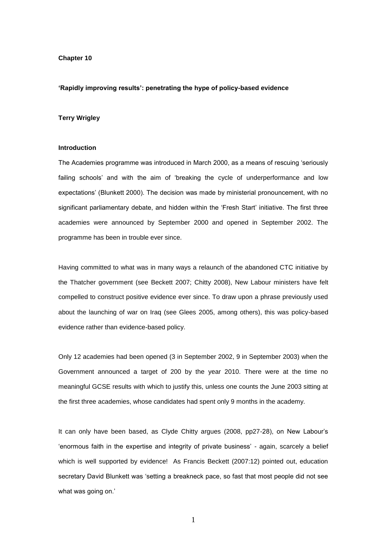### **Chapter 10**

#### **'Rapidly improving results': penetrating the hype of policy-based evidence**

## **Terry Wrigley**

#### **Introduction**

The Academies programme was introduced in March 2000, as a means of rescuing 'seriously failing schools' and with the aim of 'breaking the cycle of underperformance and low expectations' (Blunkett 2000). The decision was made by ministerial pronouncement, with no significant parliamentary debate, and hidden within the 'Fresh Start' initiative. The first three academies were announced by September 2000 and opened in September 2002. The programme has been in trouble ever since.

Having committed to what was in many ways a relaunch of the abandoned CTC initiative by the Thatcher government (see Beckett 2007; Chitty 2008), New Labour ministers have felt compelled to construct positive evidence ever since. To draw upon a phrase previously used about the launching of war on Iraq (see Glees 2005, among others), this was policy-based evidence rather than evidence-based policy.

Only 12 academies had been opened (3 in September 2002, 9 in September 2003) when the Government announced a target of 200 by the year 2010. There were at the time no meaningful GCSE results with which to justify this, unless one counts the June 2003 sitting at the first three academies, whose candidates had spent only 9 months in the academy.

It can only have been based, as Clyde Chitty argues (2008, pp27-28), on New Labour's 'enormous faith in the expertise and integrity of private business' - again, scarcely a belief which is well supported by evidence! As Francis Beckett (2007:12) pointed out, education secretary David Blunkett was 'setting a breakneck pace, so fast that most people did not see what was going on.'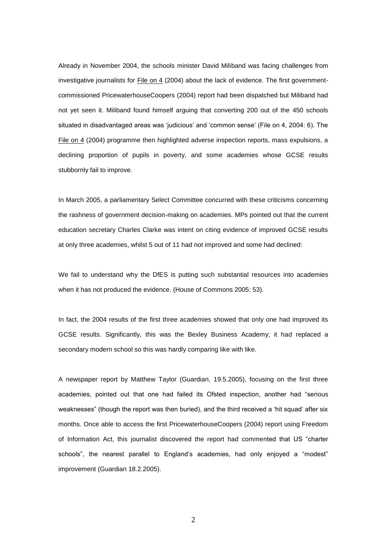Already in November 2004, the schools minister David Miliband was facing challenges from investigative journalists for  $Eile$  on 4 (2004) about the lack of evidence. The first governmentcommissioned PricewaterhouseCoopers (2004) report had been dispatched but Miliband had not yet seen it. Miliband found himself arguing that converting 200 out of the 450 schools situated in disadvantaged areas was 'judicious' and 'common sense' (File on 4, 2004: 6). The File on 4 (2004) programme then highlighted adverse inspection reports, mass expulsions, a declining proportion of pupils in poverty, and some academies whose GCSE results stubbornly fail to improve.

In March 2005, a parliamentary Select Committee concurred with these criticisms concerning the rashness of government decision-making on academies. MPs pointed out that the current education secretary Charles Clarke was intent on citing evidence of improved GCSE results at only three academies, whilst 5 out of 11 had not improved and some had declined:

We fail to understand why the DfES is putting such substantial resources into academies when it has not produced the evidence. (House of Commons 2005: 53).

In fact, the 2004 results of the first three academies showed that only one had improved its GCSE results. Significantly, this was the Bexley Business Academy; it had replaced a secondary modern school so this was hardly comparing like with like.

A newspaper report by Matthew Taylor (Guardian, 19.5.2005), focusing on the first three academies, pointed out that one had failed its Ofsted inspection, another had "serious weaknesses" (though the report was then buried), and the third received a 'hit squad' after six months. Once able to access the first PricewaterhouseCoopers (2004) report using Freedom of Information Act, this journalist discovered the report had commented that US "charter schools", the nearest parallel to England's academies, had only enjoyed a "modest" improvement (Guardian 18.2.2005).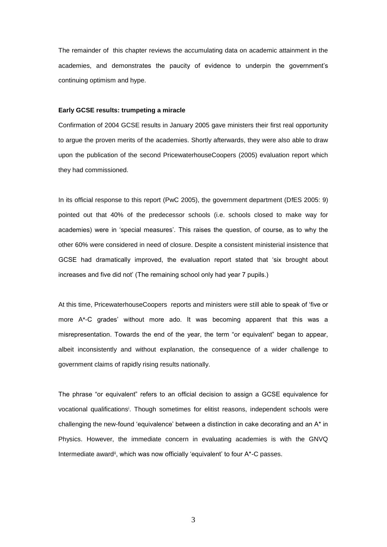The remainder of this chapter reviews the accumulating data on academic attainment in the academies, and demonstrates the paucity of evidence to underpin the government's continuing optimism and hype.

## **Early GCSE results: trumpeting a miracle**

Confirmation of 2004 GCSE results in January 2005 gave ministers their first real opportunity to argue the proven merits of the academies. Shortly afterwards, they were also able to draw upon the publication of the second PricewaterhouseCoopers (2005) evaluation report which they had commissioned.

In its official response to this report (PwC 2005), the government department (DfES 2005: 9) pointed out that 40% of the predecessor schools (i.e. schools closed to make way for academies) were in 'special measures'. This raises the question, of course, as to why the other 60% were considered in need of closure. Despite a consistent ministerial insistence that GCSE had dramatically improved, the evaluation report stated that 'six brought about increases and five did not' (The remaining school only had year 7 pupils.)

At this time, PricewaterhouseCoopers reports and ministers were still able to speak of 'five or more A\*-C grades' without more ado. It was becoming apparent that this was a misrepresentation. Towards the end of the year, the term "or equivalent" began to appear, albeit inconsistently and without explanation, the consequence of a wider challenge to government claims of rapidly rising results nationally.

The phrase "or equivalent" refers to an official decision to assign a GCSE equivalence for vocational qualifications<sup>i</sup>. Though sometimes for elitist reasons, independent schools were challenging the new-found 'equivalence' between a distinction in cake decorating and an A\* in Physics. However, the immediate concern in evaluating academies is with the GNVQ Intermediate award<sup>ii</sup>, which was now officially 'equivalent' to four A\*-C passes.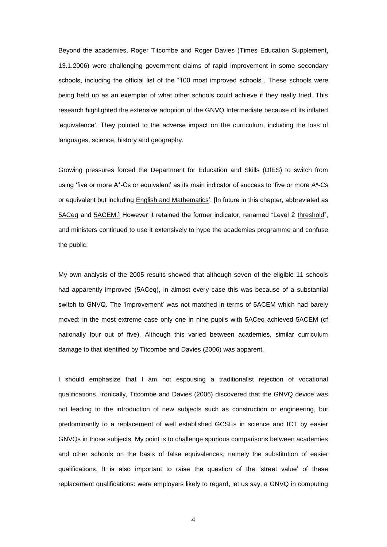Beyond the academies, Roger Titcombe and Roger Davies (Times Education Supplement, 13.1.2006) were challenging government claims of rapid improvement in some secondary schools, including the official list of the "100 most improved schools". These schools were being held up as an exemplar of what other schools could achieve if they really tried. This research highlighted the extensive adoption of the GNVQ Intermediate because of its inflated 'equivalence'. They pointed to the adverse impact on the curriculum, including the loss of languages, science, history and geography.

Growing pressures forced the Department for Education and Skills (DfES) to switch from using 'five or more A\*-Cs or equivalent' as its main indicator of success to 'five or more A\*-Cs or equivalent but including English and Mathematics'. [In future in this chapter, abbreviated as 5ACeq and 5ACEM.] However it retained the former indicator, renamed "Level 2 threshold", and ministers continued to use it extensively to hype the academies programme and confuse the public.

My own analysis of the 2005 results showed that although seven of the eligible 11 schools had apparently improved (5ACeq), in almost every case this was because of a substantial switch to GNVQ. The 'improvement' was not matched in terms of 5ACEM which had barely moved; in the most extreme case only one in nine pupils with 5ACeq achieved 5ACEM (cf nationally four out of five). Although this varied between academies, similar curriculum damage to that identified by Titcombe and Davies (2006) was apparent.

I should emphasize that I am not espousing a traditionalist rejection of vocational qualifications. Ironically, Titcombe and Davies (2006) discovered that the GNVQ device was not leading to the introduction of new subjects such as construction or engineering, but predominantly to a replacement of well established GCSEs in science and ICT by easier GNVQs in those subjects. My point is to challenge spurious comparisons between academies and other schools on the basis of false equivalences, namely the substitution of easier qualifications. It is also important to raise the question of the 'street value' of these replacement qualifications: were employers likely to regard, let us say, a GNVQ in computing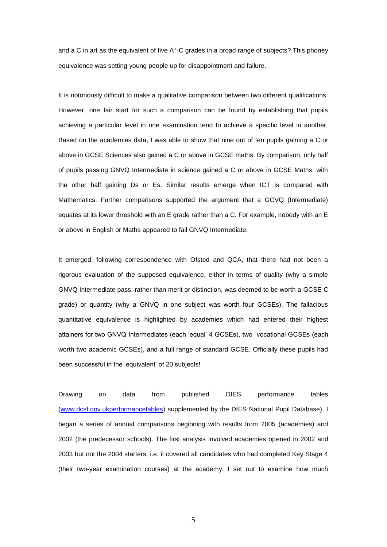and a C in art as the equivalent of five A\*-C grades in a broad range of subjects? This phoney equivalence was setting young people up for disappointment and failure.

It is notoriously difficult to make a qualitative comparison between two different qualifications. However, one fair start for such a comparison can be found by establishing that pupils achieving a particular level in one examination tend to achieve a specific level in another. Based on the academies data, I was able to show that nine out of ten pupils gaining a C or above in GCSE Sciences also gained a C or above in GCSE maths. By comparison, only half of pupils passing GNVQ Intermediate in science gained a C or above in GCSE Maths, with the other half gaining Ds or Es. Similar results emerge when ICT is compared with Mathematics. Further comparisons supported the argument that a GCVQ (Intermediate) equates at its lower threshold with an E grade rather than a C. For example, nobody with an E or above in English or Maths appeared to fail GNVQ Intermediate.

It emerged, following correspondence with Ofsted and QCA, that there had not been a rigorous evaluation of the supposed equivalence, either in terms of quality (why a simple GNVQ Intermediate pass, rather than merit or distinction, was deemed to be worth a GCSE C grade) or quantity (why a GNVQ in one subject was worth four GCSEs). The fallacious quantitative equivalence is highlighted by academies which had entered their highest attainers for two GNVQ Intermediates (each 'equal' 4 GCSEs), two vocational GCSEs (each worth two academic GCSEs), and a full range of standard GCSE. Officially these pupils had been successful in the 'equivalent' of 20 subjects!

Drawing on data from published DfES performance tables [\(www.dcsf.gov.ukperformancetables\)](http://www.dcsf.gov.ukperformancetables/) supplemented by the DfES National Pupil Database), I began a series of annual comparisons beginning with results from 2005 (academies) and 2002 (the predecessor schools). The first analysis involved academies opened in 2002 and 2003 but not the 2004 starters, i.e. it covered all candidates who had completed Key Stage 4 (their two-year examination courses) at the academy. I set out to examine how much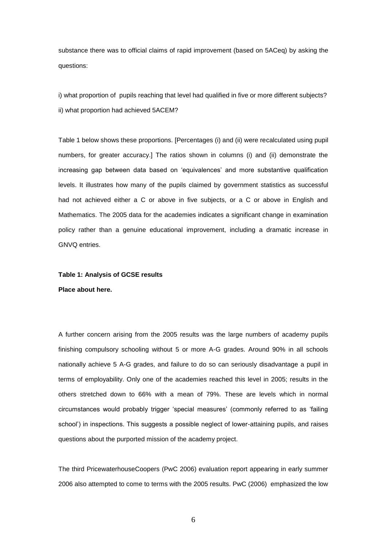substance there was to official claims of rapid improvement (based on 5ACeq) by asking the questions:

i) what proportion of pupils reaching that level had qualified in five or more different subjects? ii) what proportion had achieved 5ACEM?

Table 1 below shows these proportions. [Percentages (i) and (ii) were recalculated using pupil numbers, for greater accuracy.] The ratios shown in columns (i) and (ii) demonstrate the increasing gap between data based on 'equivalences' and more substantive qualification levels. It illustrates how many of the pupils claimed by government statistics as successful had not achieved either a C or above in five subjects, or a C or above in English and Mathematics. The 2005 data for the academies indicates a significant change in examination policy rather than a genuine educational improvement, including a dramatic increase in GNVQ entries.

# **Table 1: Analysis of GCSE results Place about here.**

A further concern arising from the 2005 results was the large numbers of academy pupils finishing compulsory schooling without 5 or more A-G grades. Around 90% in all schools nationally achieve 5 A-G grades, and failure to do so can seriously disadvantage a pupil in terms of employability. Only one of the academies reached this level in 2005; results in the others stretched down to 66% with a mean of 79%. These are levels which in normal circumstances would probably trigger 'special measures' (commonly referred to as 'failing school') in inspections. This suggests a possible neglect of lower-attaining pupils, and raises questions about the purported mission of the academy project.

The third PricewaterhouseCoopers (PwC 2006) evaluation report appearing in early summer 2006 also attempted to come to terms with the 2005 results. PwC (2006) emphasized the low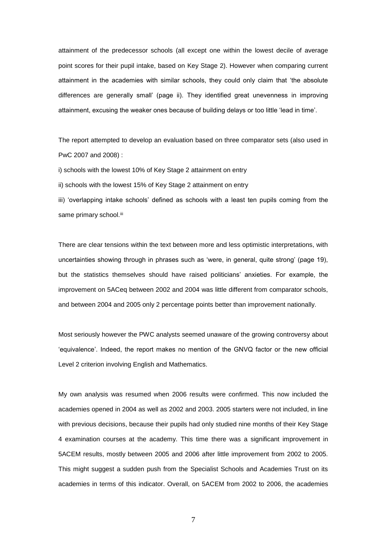attainment of the predecessor schools (all except one within the lowest decile of average point scores for their pupil intake, based on Key Stage 2). However when comparing current attainment in the academies with similar schools, they could only claim that 'the absolute differences are generally small' (page ii). They identified great unevenness in improving attainment, excusing the weaker ones because of building delays or too little 'lead in time'.

The report attempted to develop an evaluation based on three comparator sets (also used in PwC 2007 and 2008) :

i) schools with the lowest 10% of Key Stage 2 attainment on entry

ii) schools with the lowest 15% of Key Stage 2 attainment on entry

iii) 'overlapping intake schools' defined as schools with a least ten pupils coming from the same primary school.iii

There are clear tensions within the text between more and less optimistic interpretations, with uncertainties showing through in phrases such as 'were, in general, quite strong' (page 19), but the statistics themselves should have raised politicians' anxieties. For example, the improvement on 5ACeq between 2002 and 2004 was little different from comparator schools, and between 2004 and 2005 only 2 percentage points better than improvement nationally.

Most seriously however the PWC analysts seemed unaware of the growing controversy about 'equivalence'. Indeed, the report makes no mention of the GNVQ factor or the new official Level 2 criterion involving English and Mathematics.

My own analysis was resumed when 2006 results were confirmed. This now included the academies opened in 2004 as well as 2002 and 2003. 2005 starters were not included, in line with previous decisions, because their pupils had only studied nine months of their Key Stage 4 examination courses at the academy. This time there was a significant improvement in 5ACEM results, mostly between 2005 and 2006 after little improvement from 2002 to 2005. This might suggest a sudden push from the Specialist Schools and Academies Trust on its academies in terms of this indicator. Overall, on 5ACEM from 2002 to 2006, the academies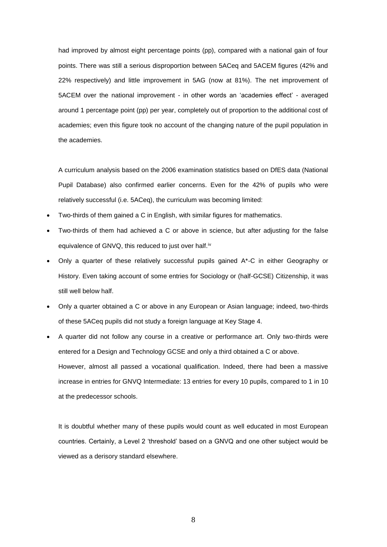had improved by almost eight percentage points (pp), compared with a national gain of four points. There was still a serious disproportion between 5ACeq and 5ACEM figures (42% and 22% respectively) and little improvement in 5AG (now at 81%). The net improvement of 5ACEM over the national improvement - in other words an 'academies effect' - averaged around 1 percentage point (pp) per year, completely out of proportion to the additional cost of academies; even this figure took no account of the changing nature of the pupil population in the academies.

A curriculum analysis based on the 2006 examination statistics based on DfES data (National Pupil Database) also confirmed earlier concerns. Even for the 42% of pupils who were relatively successful (i.e. 5ACeq), the curriculum was becoming limited:

- Two-thirds of them gained a C in English, with similar figures for mathematics.
- Two-thirds of them had achieved a C or above in science, but after adjusting for the false equivalence of GNVQ, this reduced to just over half.<sup>iv</sup>
- Only a quarter of these relatively successful pupils gained A\*-C in either Geography or History. Even taking account of some entries for Sociology or (half-GCSE) Citizenship, it was still well below half.
- Only a quarter obtained a C or above in any European or Asian language; indeed, two-thirds of these 5ACeq pupils did not study a foreign language at Key Stage 4.
- A quarter did not follow any course in a creative or performance art. Only two-thirds were entered for a Design and Technology GCSE and only a third obtained a C or above. However, almost all passed a vocational qualification. Indeed, there had been a massive increase in entries for GNVQ Intermediate: 13 entries for every 10 pupils, compared to 1 in 10 at the predecessor schools.

It is doubtful whether many of these pupils would count as well educated in most European countries. Certainly, a Level 2 'threshold' based on a GNVQ and one other subject would be viewed as a derisory standard elsewhere.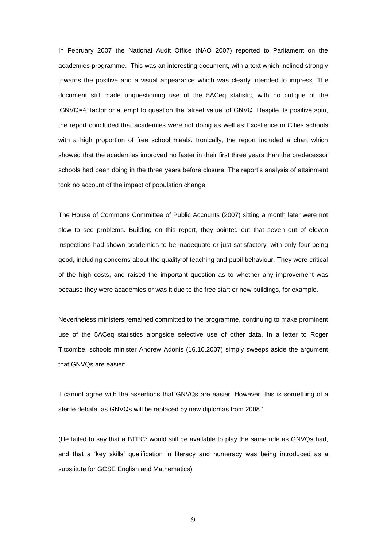In February 2007 the National Audit Office (NAO 2007) reported to Parliament on the academies programme. This was an interesting document, with a text which inclined strongly towards the positive and a visual appearance which was clearly intended to impress. The document still made unquestioning use of the 5ACeq statistic, with no critique of the 'GNVQ=4' factor or attempt to question the 'street value' of GNVQ. Despite its positive spin, the report concluded that academies were not doing as well as Excellence in Cities schools with a high proportion of free school meals. Ironically, the report included a chart which showed that the academies improved no faster in their first three years than the predecessor schools had been doing in the three years before closure. The report's analysis of attainment took no account of the impact of population change.

The House of Commons Committee of Public Accounts (2007) sitting a month later were not slow to see problems. Building on this report, they pointed out that seven out of eleven inspections had shown academies to be inadequate or just satisfactory, with only four being good, including concerns about the quality of teaching and pupil behaviour. They were critical of the high costs, and raised the important question as to whether any improvement was because they were academies or was it due to the free start or new buildings, for example.

Nevertheless ministers remained committed to the programme, continuing to make prominent use of the 5ACeq statistics alongside selective use of other data. In a letter to Roger Titcombe, schools minister Andrew Adonis (16.10.2007) simply sweeps aside the argument that GNVQs are easier:

'I cannot agree with the assertions that GNVQs are easier. However, this is something of a sterile debate, as GNVQs will be replaced by new diplomas from 2008.'

(He failed to say that a BTEC $v$  would still be available to play the same role as GNVQs had, and that a 'key skills' qualification in literacy and numeracy was being introduced as a substitute for GCSE English and Mathematics)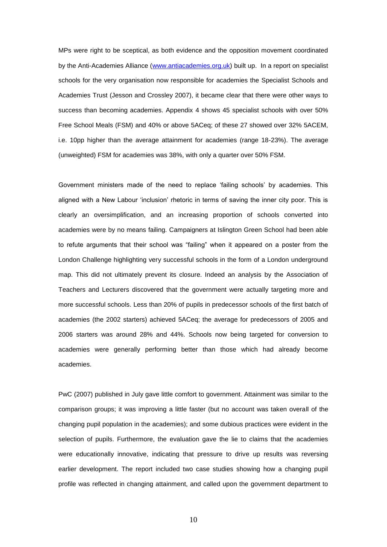MPs were right to be sceptical, as both evidence and the opposition movement coordinated by the Anti-Academies Alliance [\(www.antiacademies.org.uk\)](http://www.antiacademies.org.uk/) built up. In a report on specialist schools for the very organisation now responsible for academies the Specialist Schools and Academies Trust (Jesson and Crossley 2007), it became clear that there were other ways to success than becoming academies. Appendix 4 shows 45 specialist schools with over 50% Free School Meals (FSM) and 40% or above 5ACeq; of these 27 showed over 32% 5ACEM, i.e. 10pp higher than the average attainment for academies (range 18-23%). The average (unweighted) FSM for academies was 38%, with only a quarter over 50% FSM.

Government ministers made of the need to replace 'failing schools' by academies. This aligned with a New Labour 'inclusion' rhetoric in terms of saving the inner city poor. This is clearly an oversimplification, and an increasing proportion of schools converted into academies were by no means failing. Campaigners at Islington Green School had been able to refute arguments that their school was "failing" when it appeared on a poster from the London Challenge highlighting very successful schools in the form of a London underground map. This did not ultimately prevent its closure. Indeed an analysis by the Association of Teachers and Lecturers discovered that the government were actually targeting more and more successful schools. Less than 20% of pupils in predecessor schools of the first batch of academies (the 2002 starters) achieved 5ACeq; the average for predecessors of 2005 and 2006 starters was around 28% and 44%. Schools now being targeted for conversion to academies were generally performing better than those which had already become academies.

PwC (2007) published in July gave little comfort to government. Attainment was similar to the comparison groups; it was improving a little faster (but no account was taken overall of the changing pupil population in the academies); and some dubious practices were evident in the selection of pupils. Furthermore, the evaluation gave the lie to claims that the academies were educationally innovative, indicating that pressure to drive up results was reversing earlier development. The report included two case studies showing how a changing pupil profile was reflected in changing attainment, and called upon the government department to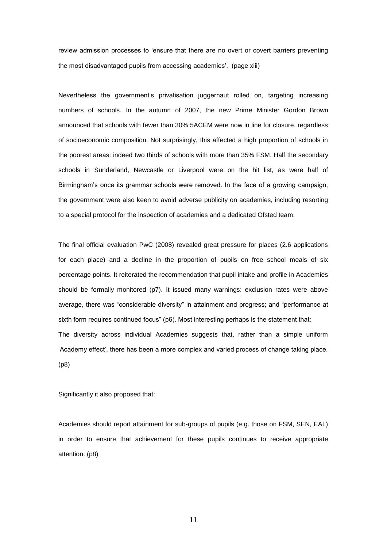review admission processes to 'ensure that there are no overt or covert barriers preventing the most disadvantaged pupils from accessing academies'. (page xiii)

Nevertheless the government's privatisation juggernaut rolled on, targeting increasing numbers of schools. In the autumn of 2007, the new Prime Minister Gordon Brown announced that schools with fewer than 30% 5ACEM were now in line for closure, regardless of socioeconomic composition. Not surprisingly, this affected a high proportion of schools in the poorest areas: indeed two thirds of schools with more than 35% FSM. Half the secondary schools in Sunderland, Newcastle or Liverpool were on the hit list, as were half of Birmingham's once its grammar schools were removed. In the face of a growing campaign, the government were also keen to avoid adverse publicity on academies, including resorting to a special protocol for the inspection of academies and a dedicated Ofsted team.

The final official evaluation PwC (2008) revealed great pressure for places (2.6 applications for each place) and a decline in the proportion of pupils on free school meals of six percentage points. It reiterated the recommendation that pupil intake and profile in Academies should be formally monitored (p7). It issued many warnings: exclusion rates were above average, there was "considerable diversity" in attainment and progress; and "performance at sixth form requires continued focus" (p6). Most interesting perhaps is the statement that: The diversity across individual Academies suggests that, rather than a simple uniform 'Academy effect', there has been a more complex and varied process of change taking place. (p8)

Significantly it also proposed that:

Academies should report attainment for sub-groups of pupils (e.g. those on FSM, SEN, EAL) in order to ensure that achievement for these pupils continues to receive appropriate attention. (p8)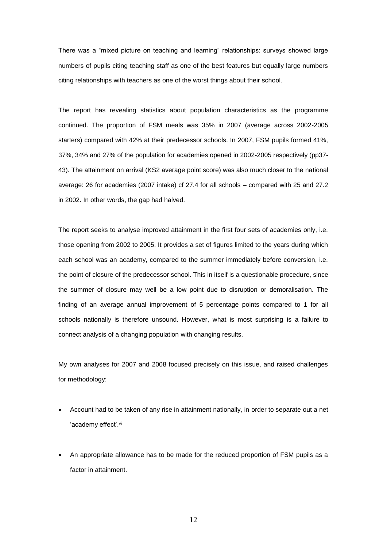There was a "mixed picture on teaching and learning" relationships: surveys showed large numbers of pupils citing teaching staff as one of the best features but equally large numbers citing relationships with teachers as one of the worst things about their school.

The report has revealing statistics about population characteristics as the programme continued. The proportion of FSM meals was 35% in 2007 (average across 2002-2005 starters) compared with 42% at their predecessor schools. In 2007, FSM pupils formed 41%, 37%, 34% and 27% of the population for academies opened in 2002-2005 respectively (pp37- 43). The attainment on arrival (KS2 average point score) was also much closer to the national average: 26 for academies (2007 intake) cf 27.4 for all schools – compared with 25 and 27.2 in 2002. In other words, the gap had halved.

The report seeks to analyse improved attainment in the first four sets of academies only, i.e. those opening from 2002 to 2005. It provides a set of figures limited to the years during which each school was an academy, compared to the summer immediately before conversion, i.e. the point of closure of the predecessor school. This in itself is a questionable procedure, since the summer of closure may well be a low point due to disruption or demoralisation. The finding of an average annual improvement of 5 percentage points compared to 1 for all schools nationally is therefore unsound. However, what is most surprising is a failure to connect analysis of a changing population with changing results.

My own analyses for 2007 and 2008 focused precisely on this issue, and raised challenges for methodology:

- Account had to be taken of any rise in attainment nationally, in order to separate out a net 'academy effect'.vi
- An appropriate allowance has to be made for the reduced proportion of FSM pupils as a factor in attainment.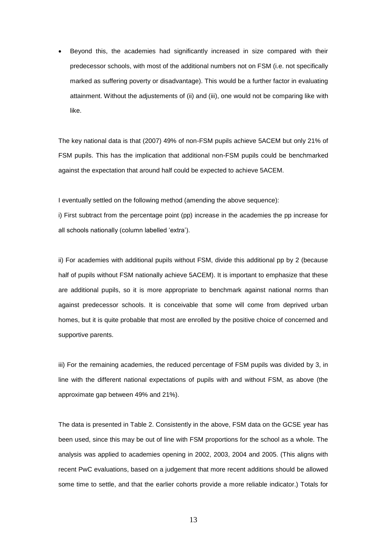Beyond this, the academies had significantly increased in size compared with their predecessor schools, with most of the additional numbers not on FSM (i.e. not specifically marked as suffering poverty or disadvantage). This would be a further factor in evaluating attainment. Without the adjustements of (ii) and (iii), one would not be comparing like with like.

The key national data is that (2007) 49% of non-FSM pupils achieve 5ACEM but only 21% of FSM pupils. This has the implication that additional non-FSM pupils could be benchmarked against the expectation that around half could be expected to achieve 5ACEM.

I eventually settled on the following method (amending the above sequence):

i) First subtract from the percentage point (pp) increase in the academies the pp increase for all schools nationally (column labelled 'extra').

ii) For academies with additional pupils without FSM, divide this additional pp by 2 (because half of pupils without FSM nationally achieve 5ACEM). It is important to emphasize that these are additional pupils, so it is more appropriate to benchmark against national norms than against predecessor schools. It is conceivable that some will come from deprived urban homes, but it is quite probable that most are enrolled by the positive choice of concerned and supportive parents.

iii) For the remaining academies, the reduced percentage of FSM pupils was divided by 3, in line with the different national expectations of pupils with and without FSM, as above (the approximate gap between 49% and 21%).

The data is presented in Table 2. Consistently in the above, FSM data on the GCSE year has been used, since this may be out of line with FSM proportions for the school as a whole. The analysis was applied to academies opening in 2002, 2003, 2004 and 2005. (This aligns with recent PwC evaluations, based on a judgement that more recent additions should be allowed some time to settle, and that the earlier cohorts provide a more reliable indicator.) Totals for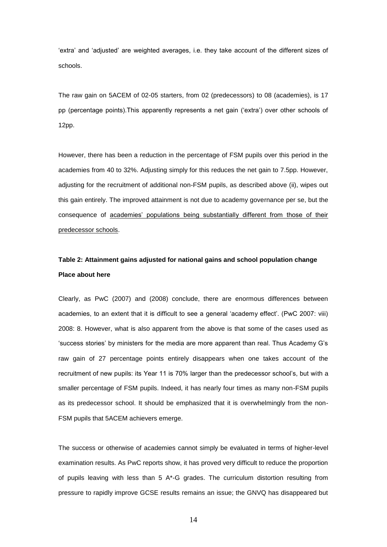'extra' and 'adjusted' are weighted averages, i.e. they take account of the different sizes of schools.

The raw gain on 5ACEM of 02-05 starters, from 02 (predecessors) to 08 (academies), is 17 pp (percentage points).This apparently represents a net gain ('extra') over other schools of 12pp.

However, there has been a reduction in the percentage of FSM pupils over this period in the academies from 40 to 32%. Adjusting simply for this reduces the net gain to 7.5pp. However, adjusting for the recruitment of additional non-FSM pupils, as described above (ii), wipes out this gain entirely. The improved attainment is not due to academy governance per se, but the consequence of academies' populations being substantially different from those of their predecessor schools.

# **Table 2: Attainment gains adjusted for national gains and school population change Place about here**

Clearly, as PwC (2007) and (2008) conclude, there are enormous differences between academies, to an extent that it is difficult to see a general 'academy effect'. (PwC 2007: viii) 2008: 8. However, what is also apparent from the above is that some of the cases used as 'success stories' by ministers for the media are more apparent than real. Thus Academy G's raw gain of 27 percentage points entirely disappears when one takes account of the recruitment of new pupils: its Year 11 is 70% larger than the predecessor school's, but with a smaller percentage of FSM pupils. Indeed, it has nearly four times as many non-FSM pupils as its predecessor school. It should be emphasized that it is overwhelmingly from the non-FSM pupils that 5ACEM achievers emerge.

The success or otherwise of academies cannot simply be evaluated in terms of higher-level examination results. As PwC reports show, it has proved very difficult to reduce the proportion of pupils leaving with less than 5  $A^*$ -G grades. The curriculum distortion resulting from pressure to rapidly improve GCSE results remains an issue; the GNVQ has disappeared but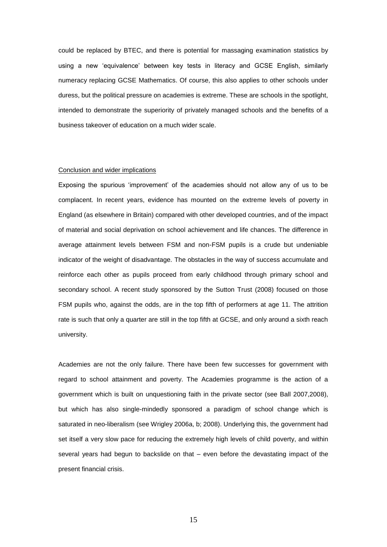could be replaced by BTEC, and there is potential for massaging examination statistics by using a new 'equivalence' between key tests in literacy and GCSE English, similarly numeracy replacing GCSE Mathematics. Of course, this also applies to other schools under duress, but the political pressure on academies is extreme. These are schools in the spotlight, intended to demonstrate the superiority of privately managed schools and the benefits of a business takeover of education on a much wider scale.

## Conclusion and wider implications

Exposing the spurious 'improvement' of the academies should not allow any of us to be complacent. In recent years, evidence has mounted on the extreme levels of poverty in England (as elsewhere in Britain) compared with other developed countries, and of the impact of material and social deprivation on school achievement and life chances. The difference in average attainment levels between FSM and non-FSM pupils is a crude but undeniable indicator of the weight of disadvantage. The obstacles in the way of success accumulate and reinforce each other as pupils proceed from early childhood through primary school and secondary school. A recent study sponsored by the Sutton Trust (2008) focused on those FSM pupils who, against the odds, are in the top fifth of performers at age 11. The attrition rate is such that only a quarter are still in the top fifth at GCSE, and only around a sixth reach university.

Academies are not the only failure. There have been few successes for government with regard to school attainment and poverty. The Academies programme is the action of a government which is built on unquestioning faith in the private sector (see Ball 2007,2008), but which has also single-mindedly sponsored a paradigm of school change which is saturated in neo-liberalism (see Wrigley 2006a, b; 2008). Underlying this, the government had set itself a very slow pace for reducing the extremely high levels of child poverty, and within several years had begun to backslide on that – even before the devastating impact of the present financial crisis.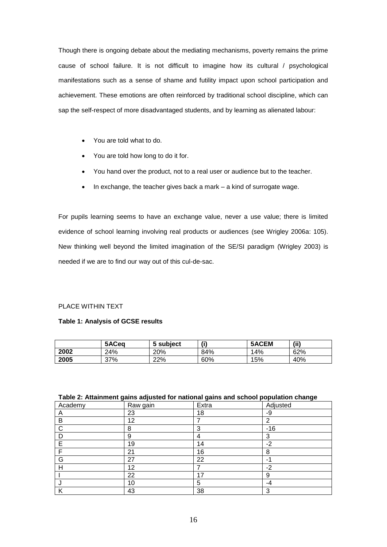Though there is ongoing debate about the mediating mechanisms, poverty remains the prime cause of school failure. It is not difficult to imagine how its cultural / psychological manifestations such as a sense of shame and futility impact upon school participation and achievement. These emotions are often reinforced by traditional school discipline, which can sap the self-respect of more disadvantaged students, and by learning as alienated labour:

- You are told what to do.
- You are told how long to do it for.
- You hand over the product, not to a real user or audience but to the teacher.
- In exchange, the teacher gives back a mark a kind of surrogate wage.

For pupils learning seems to have an exchange value, never a use value; there is limited evidence of school learning involving real products or audiences (see Wrigley 2006a: 105). New thinking well beyond the limited imagination of the SE/SI paradigm (Wrigley 2003) is needed if we are to find our way out of this cul-de-sac.

## PLACE WITHIN TEXT

#### **Table 1: Analysis of GCSE results**

|      | 5ACeg | 5 subject | (i) | 5ACEM | (ii) |
|------|-------|-----------|-----|-------|------|
| 2002 | 24%   | 20%       | 84% | 14%   | 62%  |
| 2005 | 37%   | 22%       | 60% | 15%   | 40%  |

## **Table 2: Attainment gains adjusted for national gains and school population change**

| Academy | Raw gain | Extra | Adjusted |
|---------|----------|-------|----------|
| A       | 23       | 18    | -9       |
| В       | 12       |       | 2        |
| C       | 8        | 3     | $-16$    |
|         | 9        | 4     | 3        |
| Е       | 19       | 14    | $-2$     |
|         | 21       | 16    | 8        |
| G       | 27       | 22    | -1       |
| н       | 12       |       | $-2$     |
|         | 22       | 17    | 9        |
|         | 10       | 5     | -4       |
| Κ       | 43       | 38    | 3        |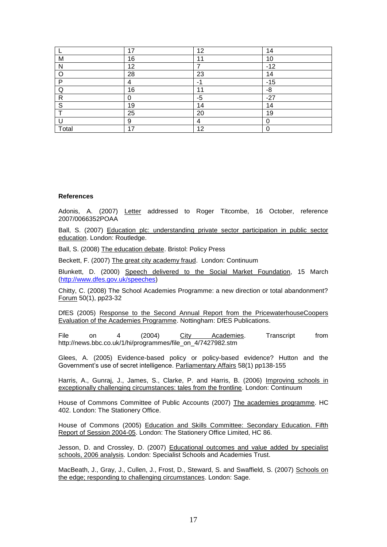|       | 17 | 12   | 14    |
|-------|----|------|-------|
| M     | 16 | 11   | 10    |
|       | 12 |      | $-12$ |
|       | 28 | 23   | 14    |
| D     |    |      | $-15$ |
|       | 16 | 11   | -8    |
| R     |    | $-5$ | $-27$ |
| S     | 19 | 14   | 14    |
|       | 25 | 20   | 19    |
|       | 9  | 4    | 0     |
| Total | 17 | 12   |       |

#### **References**

Adonis, A. (2007) Letter addressed to Roger Titcombe, 16 October, reference 2007/0066352POAA

Ball, S. (2007) Education plc: understanding private sector participation in public sector education. London: Routledge.

Ball, S. (2008) The education debate. Bristol: Policy Press

Beckett, F. (2007) The great city academy fraud. London: Continuum

Blunkett, D. (2000) Speech delivered to the Social Market Foundation, 15 March [\(http://www.dfes.gov.uk/speeches\)](http://www.dfes.gov.uk/speeches)

Chitty, C. (2008) The School Academies Programme: a new direction or total abandonment? Forum 50(1), pp23-32

DfES (2005) Response to the Second Annual Report from the PricewaterhouseCoopers Evaluation of the Academies Programme. Nottingham: DfES Publications.

File on 4 (2004) City Academies. Transcript from http://news.bbc.co.uk/1/hi/programmes/file\_on\_4/7427982.stm

Glees, A. (2005) Evidence-based policy or policy-based evidence? Hutton and the Government's use of secret intelligence. Parliamentary Affairs 58(1) pp138-155

Harris, A., Gunraj, J., James, S., Clarke, P. and Harris, B. (2006) Improving schools in exceptionally challenging circumstances: tales from the frontline. London: Continuum

House of Commons Committee of Public Accounts (2007) The academies programme. HC 402. London: The Stationery Office.

House of Commons (2005) Education and Skills Committee: Secondary Education. Fifth Report of Session 2004-05. London: The Stationery Office Limited, HC 86.

Jesson, D. and Crossley, D. (2007) Educational outcomes and value added by specialist schools, 2006 analysis*.* London: Specialist Schools and Academies Trust.

MacBeath, J., Gray, J., Cullen, J., Frost, D., Steward, S. and Swaffield, S. (2007) Schools on the edge; responding to challenging circumstances. London: Sage.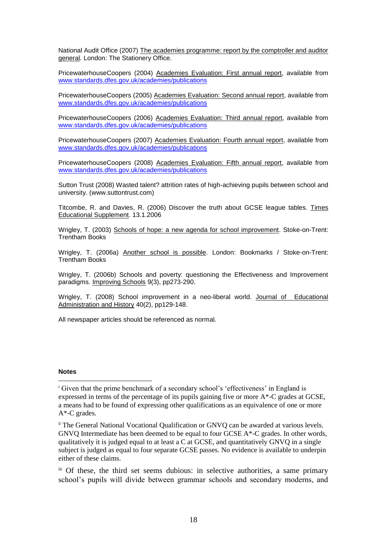National Audit Office (2007) The academies programme: report by the comptroller and auditor general*.* London: The Stationery Office.

PricewaterhouseCoopers (2004) Academies Evaluation: First annual report, available from [www.standards.dfes.gov.uk/academies/publications](http://www.standards.dfes.gov.uk/academies/publications)

PricewaterhouseCoopers (2005) Academies Evaluation: Second annual report, available from [www.standards.dfes.gov.uk/academies/publications](http://www.standards.dfes.gov.uk/academies/publications)

PricewaterhouseCoopers (2006) Academies Evaluation: Third annual report, available from [www.standards.dfes.gov.uk/academies/publications](http://www.standards.dfes.gov.uk/academies/publications)

PricewaterhouseCoopers (2007) Academies Evaluation: Fourth annual report, available from [www.standards.dfes.gov.uk/academies/publications](http://www.standards.dfes.gov.uk/academies/publications)

PricewaterhouseCoopers (2008) Academies Evaluation: Fifth annual report, available from [www.standards.dfes.gov.uk/academies/publications](http://www.standards.dfes.gov.uk/academies/publications)

Sutton Trust (2008) Wasted talent? attrition rates of high-achieving pupils between school and university. (www.suttontrust.com)

Titcombe, R. and Davies, R. (2006) Discover the truth about GCSE league tables. Times Educational Supplement. 13.1.2006

Wrigley, T. (2003) Schools of hope: a new agenda for school improvement. Stoke-on-Trent: Trentham Books

Wrigley, T. (2006a) Another school is possible. London: Bookmarks / Stoke-on-Trent: Trentham Books

Wrigley, T. (2006b) Schools and poverty: questioning the Effectiveness and Improvement paradigms. Improving Schools 9(3), pp273-290.

Wrigley, T. (2008) School improvement in a neo-liberal world. Journal of Educational Administration and History 40(2), pp129-148.

All newspaper articles should be referenced as normal.

#### **Notes**

 $\overline{a}$ 

<sup>&</sup>lt;sup>i</sup> Given that the prime benchmark of a secondary school's 'effectiveness' in England is expressed in terms of the percentage of its pupils gaining five or more A\*-C grades at GCSE, a means had to be found of expressing other qualifications as an equivalence of one or more A\*-C grades.

ii The General National Vocational Qualification or GNVQ can be awarded at various levels. GNVQ Intermediate has been deemed to be equal to four GCSE A\*-C grades. In other words, qualitatively it is judged equal to at least a C at GCSE, and quantitatively GNVQ in a single subject is judged as equal to four separate GCSE passes. No evidence is available to underpin either of these claims.

iii Of these, the third set seems dubious: in selective authorities, a same primary school's pupils will divide between grammar schools and secondary moderns, and